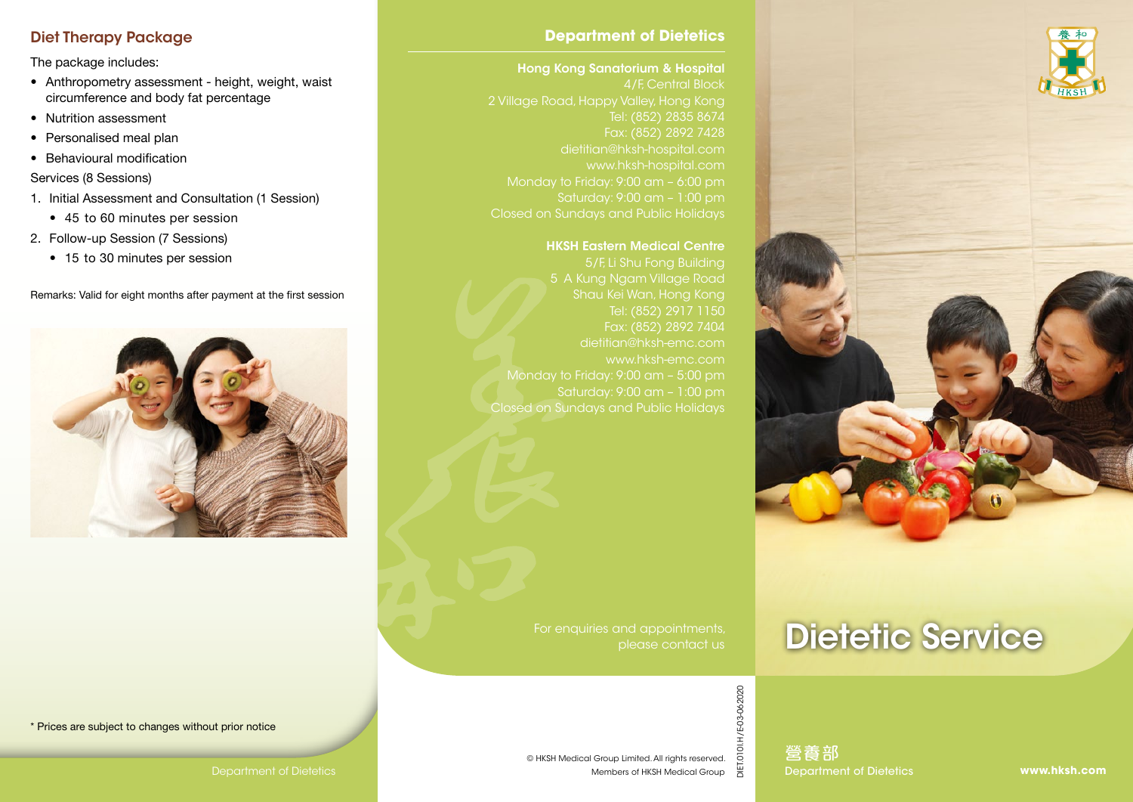# Diet Therapy Package

The package includes:

- Anthropometry assessment height, weight, waist circumference and body fat percentage
- Nutrition assessment
- Personalised meal plan
- Behavioural modification
- Services (8 Sessions)
- 1. Initial Assessment and Consultation (1 Session)
	- 45 to 60 minutes per session
- 2. Follow-up Session (7 Sessions)
	- 15 to 30 minutes per session

Remarks: Valid for eight months after payment at the first session



#### **Department of Dietetics**

#### Hong Kong Sanatorium & Hospital

4/F, Central Block Tel: (852) 2835 8674 dietitian@hksh-hospital.com www.hksh-hospital.com Monday to Friday: 9:00 am – 6:00 pm Saturday: 9:00 am – 1:00 pm

#### HKSH Eastern Medical Centre

5/F, Li Shu Fong Building 5 A Kung Ngam Village Road Shau Kei Wan, Hong Kong Tel: (852) 2917 1150 Fax: (852) 2892 7404 Monday to Friday: 9:00 am – 5:00 pm Saturday: 9:00 am – 1:00 pm Closed on Sundays and Public Holidays

> For enquiries and appointments, please contact us

# Dietetic Service



Department of Dietetics | Members of HKSH Medical Group Department of Dietetics 營養部



\* Prices are subject to changes without prior notice